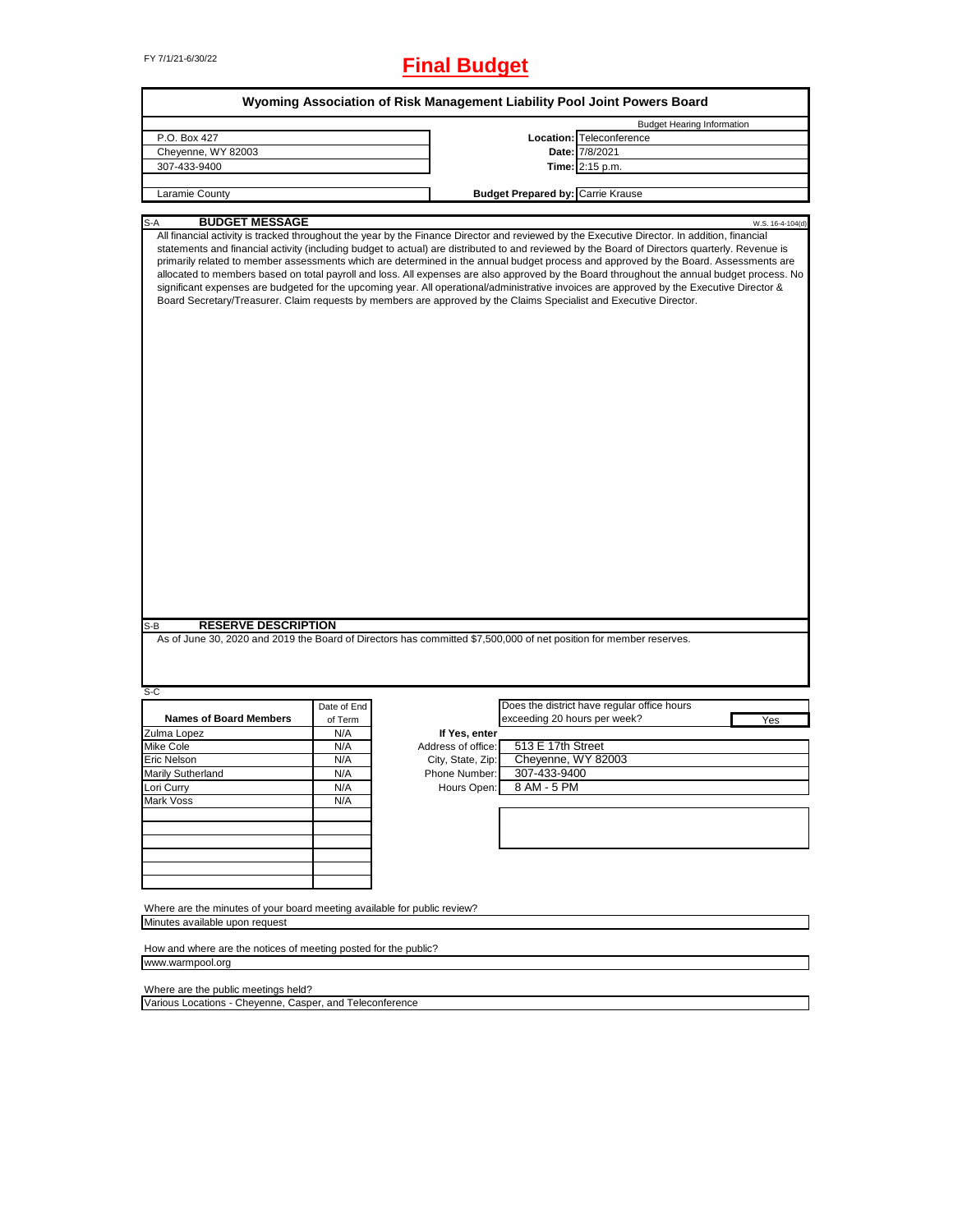# FY 7/1/21-6/30/22 **Final Budget**

| Wyoming Association of Risk Management Liability Pool Joint Powers Board |             |                    |                                                                                                                                                                                                                                                                                                                                                                                                                                                                                                                                                                                                                                                                                                                                                                                                                                                         |  |  |  |
|--------------------------------------------------------------------------|-------------|--------------------|---------------------------------------------------------------------------------------------------------------------------------------------------------------------------------------------------------------------------------------------------------------------------------------------------------------------------------------------------------------------------------------------------------------------------------------------------------------------------------------------------------------------------------------------------------------------------------------------------------------------------------------------------------------------------------------------------------------------------------------------------------------------------------------------------------------------------------------------------------|--|--|--|
|                                                                          |             |                    | <b>Budget Hearing Information</b>                                                                                                                                                                                                                                                                                                                                                                                                                                                                                                                                                                                                                                                                                                                                                                                                                       |  |  |  |
| P.O. Box 427                                                             |             |                    | Location: Teleconference                                                                                                                                                                                                                                                                                                                                                                                                                                                                                                                                                                                                                                                                                                                                                                                                                                |  |  |  |
| Cheyenne, WY 82003                                                       |             |                    | Date: 7/8/2021                                                                                                                                                                                                                                                                                                                                                                                                                                                                                                                                                                                                                                                                                                                                                                                                                                          |  |  |  |
| 307-433-9400                                                             |             |                    | Time: 2:15 p.m.                                                                                                                                                                                                                                                                                                                                                                                                                                                                                                                                                                                                                                                                                                                                                                                                                                         |  |  |  |
|                                                                          |             |                    |                                                                                                                                                                                                                                                                                                                                                                                                                                                                                                                                                                                                                                                                                                                                                                                                                                                         |  |  |  |
| Laramie County                                                           |             |                    | <b>Budget Prepared by: Carrie Krause</b>                                                                                                                                                                                                                                                                                                                                                                                                                                                                                                                                                                                                                                                                                                                                                                                                                |  |  |  |
|                                                                          |             |                    |                                                                                                                                                                                                                                                                                                                                                                                                                                                                                                                                                                                                                                                                                                                                                                                                                                                         |  |  |  |
| <b>BUDGET MESSAGE</b><br>S-A                                             |             |                    | W.S. 16-4-104(d)                                                                                                                                                                                                                                                                                                                                                                                                                                                                                                                                                                                                                                                                                                                                                                                                                                        |  |  |  |
| <b>RESERVE DESCRIPTION</b><br>S-B                                        |             |                    | All financial activity is tracked throughout the year by the Finance Director and reviewed by the Executive Director. In addition, financial<br>statements and financial activity (including budget to actual) are distributed to and reviewed by the Board of Directors quarterly. Revenue is<br>primarily related to member assessments which are determined in the annual budget process and approved by the Board. Assessments are<br>allocated to members based on total payroll and loss. All expenses are also approved by the Board throughout the annual budget process. No<br>significant expenses are budgeted for the upcoming year. All operational/administrative invoices are approved by the Executive Director &<br>Board Secretary/Treasurer. Claim requests by members are approved by the Claims Specialist and Executive Director. |  |  |  |
|                                                                          |             |                    | As of June 30, 2020 and 2019 the Board of Directors has committed \$7,500,000 of net position for member reserves.                                                                                                                                                                                                                                                                                                                                                                                                                                                                                                                                                                                                                                                                                                                                      |  |  |  |
| S-C                                                                      |             |                    |                                                                                                                                                                                                                                                                                                                                                                                                                                                                                                                                                                                                                                                                                                                                                                                                                                                         |  |  |  |
|                                                                          | Date of End |                    | Does the district have regular office hours                                                                                                                                                                                                                                                                                                                                                                                                                                                                                                                                                                                                                                                                                                                                                                                                             |  |  |  |
| <b>Names of Board Members</b>                                            | of Term     |                    | exceeding 20 hours per week?<br>Yes                                                                                                                                                                                                                                                                                                                                                                                                                                                                                                                                                                                                                                                                                                                                                                                                                     |  |  |  |
| Zulma Lopez                                                              | N/A         | If Yes, enter      |                                                                                                                                                                                                                                                                                                                                                                                                                                                                                                                                                                                                                                                                                                                                                                                                                                                         |  |  |  |
| Mike Cole                                                                | N/A         | Address of office: | 513 E 17th Street                                                                                                                                                                                                                                                                                                                                                                                                                                                                                                                                                                                                                                                                                                                                                                                                                                       |  |  |  |
| Eric Nelson                                                              | N/A         | City, State, Zip:  | Cheyenne, WY 82003                                                                                                                                                                                                                                                                                                                                                                                                                                                                                                                                                                                                                                                                                                                                                                                                                                      |  |  |  |
| Marily Sutherland                                                        | N/A         | Phone Number:      | 307-433-9400                                                                                                                                                                                                                                                                                                                                                                                                                                                                                                                                                                                                                                                                                                                                                                                                                                            |  |  |  |
| Lori Curry                                                               | N/A         | Hours Open:        | 8 AM - 5 PM                                                                                                                                                                                                                                                                                                                                                                                                                                                                                                                                                                                                                                                                                                                                                                                                                                             |  |  |  |
| Mark Voss                                                                | N/A         |                    |                                                                                                                                                                                                                                                                                                                                                                                                                                                                                                                                                                                                                                                                                                                                                                                                                                                         |  |  |  |
|                                                                          |             |                    |                                                                                                                                                                                                                                                                                                                                                                                                                                                                                                                                                                                                                                                                                                                                                                                                                                                         |  |  |  |
|                                                                          |             |                    |                                                                                                                                                                                                                                                                                                                                                                                                                                                                                                                                                                                                                                                                                                                                                                                                                                                         |  |  |  |
|                                                                          |             |                    |                                                                                                                                                                                                                                                                                                                                                                                                                                                                                                                                                                                                                                                                                                                                                                                                                                                         |  |  |  |
|                                                                          |             |                    |                                                                                                                                                                                                                                                                                                                                                                                                                                                                                                                                                                                                                                                                                                                                                                                                                                                         |  |  |  |
|                                                                          |             |                    |                                                                                                                                                                                                                                                                                                                                                                                                                                                                                                                                                                                                                                                                                                                                                                                                                                                         |  |  |  |
|                                                                          |             |                    |                                                                                                                                                                                                                                                                                                                                                                                                                                                                                                                                                                                                                                                                                                                                                                                                                                                         |  |  |  |
|                                                                          |             |                    |                                                                                                                                                                                                                                                                                                                                                                                                                                                                                                                                                                                                                                                                                                                                                                                                                                                         |  |  |  |
| Where are the minutes of your board meeting available for public review? |             |                    |                                                                                                                                                                                                                                                                                                                                                                                                                                                                                                                                                                                                                                                                                                                                                                                                                                                         |  |  |  |
| Minutes available upon request                                           |             |                    |                                                                                                                                                                                                                                                                                                                                                                                                                                                                                                                                                                                                                                                                                                                                                                                                                                                         |  |  |  |
|                                                                          |             |                    |                                                                                                                                                                                                                                                                                                                                                                                                                                                                                                                                                                                                                                                                                                                                                                                                                                                         |  |  |  |
| How and where are the notices of meeting posted for the public?          |             |                    |                                                                                                                                                                                                                                                                                                                                                                                                                                                                                                                                                                                                                                                                                                                                                                                                                                                         |  |  |  |
| www.warmpool.org                                                         |             |                    |                                                                                                                                                                                                                                                                                                                                                                                                                                                                                                                                                                                                                                                                                                                                                                                                                                                         |  |  |  |
|                                                                          |             |                    |                                                                                                                                                                                                                                                                                                                                                                                                                                                                                                                                                                                                                                                                                                                                                                                                                                                         |  |  |  |
| Where are the public meetings held?                                      |             |                    |                                                                                                                                                                                                                                                                                                                                                                                                                                                                                                                                                                                                                                                                                                                                                                                                                                                         |  |  |  |
| Various Locations - Cheyenne, Casper, and Teleconference                 |             |                    |                                                                                                                                                                                                                                                                                                                                                                                                                                                                                                                                                                                                                                                                                                                                                                                                                                                         |  |  |  |

Various Locations - Cheyenne, Casper, and Teleconference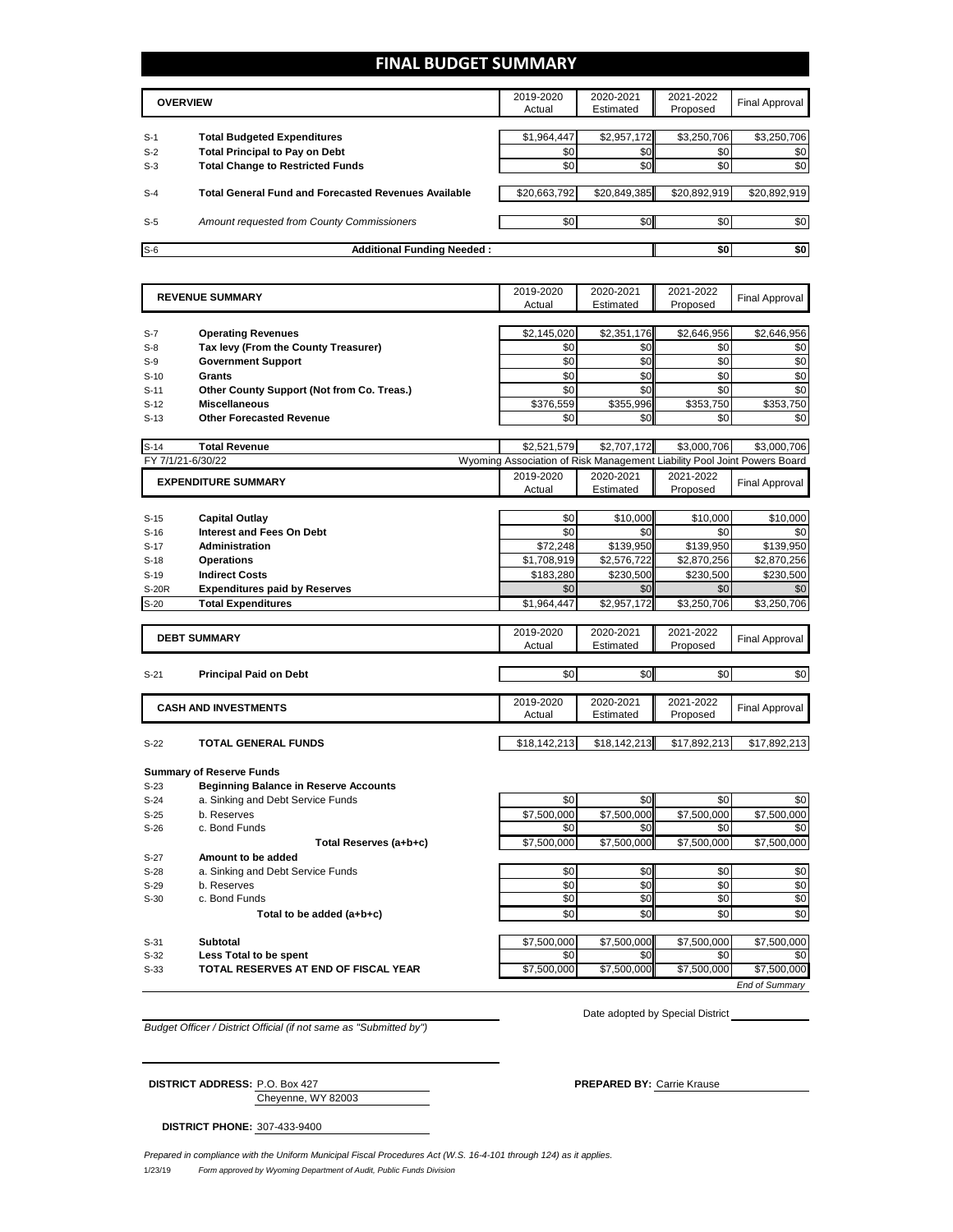## **FINAL BUDGET SUMMARY**

|       | <b>OVERVIEW</b>                                             | 2019-2020<br>Actual | 2020-2021<br>Estimated | 2021-2022<br>Proposed | Final Approval |
|-------|-------------------------------------------------------------|---------------------|------------------------|-----------------------|----------------|
|       |                                                             |                     |                        |                       |                |
| $S-1$ | <b>Total Budgeted Expenditures</b>                          | \$1,964,447         | \$2,957,172            | \$3,250,706           | \$3,250,706    |
| $S-2$ | <b>Total Principal to Pay on Debt</b>                       | \$0                 | \$0                    | \$0                   | \$0            |
| $S-3$ | <b>Total Change to Restricted Funds</b>                     | \$0                 | \$0                    | \$0                   | \$0            |
|       |                                                             |                     |                        |                       |                |
| $S-4$ | <b>Total General Fund and Forecasted Revenues Available</b> | \$20,663,792        | \$20,849,385           | \$20,892,919          | \$20,892,919   |
|       |                                                             |                     |                        |                       |                |
| $S-5$ | Amount requested from County Commissioners                  | \$0                 | \$0 <sub>1</sub>       | \$0                   | \$0            |
|       |                                                             |                     |                        |                       |                |
| $S-6$ | <b>Additional Funding Needed:</b>                           |                     |                        | \$0                   | \$0            |

|                   | <b>REVENUE SUMMARY</b>                       | 2019-2020                                                                | 2020-2021    | 2021-2022    | <b>Final Approval</b> |
|-------------------|----------------------------------------------|--------------------------------------------------------------------------|--------------|--------------|-----------------------|
|                   |                                              | Actual                                                                   | Estimated    | Proposed     |                       |
|                   |                                              |                                                                          |              |              |                       |
| $S-7$             | <b>Operating Revenues</b>                    | \$2,145,020                                                              | \$2,351,176  | \$2,646,956  | \$2,646,956           |
| $S-8$             | Tax levy (From the County Treasurer)         | \$0                                                                      | \$0          | \$0          | \$0                   |
| $S-9$             | <b>Government Support</b>                    | \$0                                                                      | \$0          | \$0          | \$0                   |
| $S-10$            | Grants                                       | \$0                                                                      | \$0          | \$0          | \$0                   |
| $S-11$            | Other County Support (Not from Co. Treas.)   | \$0                                                                      | \$0          | \$0          | \$0                   |
| $S-12$            | <b>Miscellaneous</b>                         | \$376.559                                                                | \$355.996    | \$353.750    | \$353.750             |
| $S-13$            | <b>Other Forecasted Revenue</b>              | \$0                                                                      | \$0          | \$0          | \$0                   |
|                   |                                              |                                                                          |              |              |                       |
| $S-14$            | <b>Total Revenue</b>                         | \$2,521,579                                                              | \$2,707,172  | \$3,000,706  | \$3,000,706           |
| FY 7/1/21-6/30/22 |                                              | Wyoming Association of Risk Management Liability Pool Joint Powers Board |              |              |                       |
|                   | <b>EXPENDITURE SUMMARY</b>                   | 2019-2020                                                                | 2020-2021    | 2021-2022    |                       |
|                   |                                              | Actual                                                                   | Estimated    | Proposed     | <b>Final Approval</b> |
|                   |                                              |                                                                          |              |              |                       |
| $S-15$            | <b>Capital Outlay</b>                        | \$0                                                                      | \$10,000     | \$10,000     | \$10,000              |
| $S-16$            | <b>Interest and Fees On Debt</b>             | \$0                                                                      | \$0          | \$0          | \$0                   |
| $S-17$            | <b>Administration</b>                        | \$72,248                                                                 | \$139,950    | \$139,950    | \$139,950             |
| $S-18$            | <b>Operations</b>                            | \$1,708,919                                                              | \$2,576,722  | \$2,870,256  | \$2,870,256           |
| $S-19$            | <b>Indirect Costs</b>                        | \$183,280                                                                | \$230,500    | \$230,500    | \$230,500             |
| <b>S-20R</b>      | <b>Expenditures paid by Reserves</b>         | \$0                                                                      | \$0          | \$0          | \$0                   |
| $S-20$            | <b>Total Expenditures</b>                    | \$1,964,447                                                              | \$2,957,172  | \$3,250,706  | \$3,250,706           |
|                   |                                              |                                                                          |              |              |                       |
|                   |                                              | 2019-2020                                                                | 2020-2021    | 2021-2022    |                       |
|                   | <b>DEBT SUMMARY</b>                          | Actual                                                                   | Estimated    | Proposed     | <b>Final Approval</b> |
|                   |                                              |                                                                          |              |              |                       |
|                   |                                              |                                                                          |              |              |                       |
| $S-21$            | <b>Principal Paid on Debt</b>                | \$0                                                                      | \$0          | \$0          | \$0                   |
|                   |                                              |                                                                          |              |              |                       |
|                   |                                              | 2019-2020                                                                | 2020-2021    | 2021-2022    |                       |
|                   | <b>CASH AND INVESTMENTS</b>                  | Actual                                                                   | Estimated    | Proposed     | <b>Final Approval</b> |
|                   |                                              |                                                                          |              |              |                       |
| $S-22$            | <b>TOTAL GENERAL FUNDS</b>                   | \$18,142,213                                                             | \$18,142,213 | \$17,892,213 | \$17,892,213          |
|                   |                                              |                                                                          |              |              |                       |
|                   | <b>Summary of Reserve Funds</b>              |                                                                          |              |              |                       |
| $S-23$            | <b>Beginning Balance in Reserve Accounts</b> |                                                                          |              |              |                       |
| $S-24$            | a. Sinking and Debt Service Funds            | \$0                                                                      | \$0          | \$0          | \$0                   |
| $S-25$            | b. Reserves                                  | \$7,500,000                                                              | \$7,500,000  | \$7,500,000  | \$7,500,000           |
| $S-26$            | c. Bond Funds                                | \$0                                                                      | \$0          | \$0          | \$0                   |
|                   | Total Reserves (a+b+c)                       | \$7,500,000                                                              | \$7,500,000  | \$7,500,000  | \$7,500,000           |
| $S-27$            | Amount to be added                           |                                                                          |              |              |                       |
| $S-28$            | a. Sinking and Debt Service Funds            | \$0                                                                      | \$0          | \$0          | \$0                   |
| $S-29$            | b. Reserves                                  | \$0                                                                      | \$0          | \$0          | \$0                   |
| $S-30$            | c. Bond Funds                                | \$0                                                                      | \$0          | \$0          | \$0                   |
|                   | Total to be added (a+b+c)                    | \$0                                                                      | \$0          | \$0          | \$0                   |

S-31 **Subtotal** \$7,500,000 \$7,500,000 \$7,500,000 \$7,500,000 S-32 **Less Total to be spent because the spentifical set of the spentifical set of the spentifical set of the spentifical set of the spentifical set of the spentifical set of the spentifical set of the spentifical set of** S-33 **TOTAL RESERVES AT END OF FISCAL YEAR** \$7,500,000 \$7,500,000 \$7,500,000 \$7,500,000 \$7,500,000 \$7,500,000 \$7,500,000 \$7,500,000 \$7,500,000 \$7,500,000 \$7,500,000 \$7,500,000 \$7,500,000 \$7,500,000 \$7,500,000 \$7,500,000 \$7 *End of Summary*

*Budget Officer / District Official (if not same as "Submitted by")*

Date adopted by Special District

Cheyenne, WY 82003 **DISTRICT ADDRESS:** P.O. Box 427 **PREPARED BY:** Carrie Krause

**DISTRICT PHONE:** 307-433-9400

1/23/19 *Form approved by Wyoming Department of Audit, Public Funds Division Prepared in compliance with the Uniform Municipal Fiscal Procedures Act (W.S. 16-4-101 through 124) as it applies.*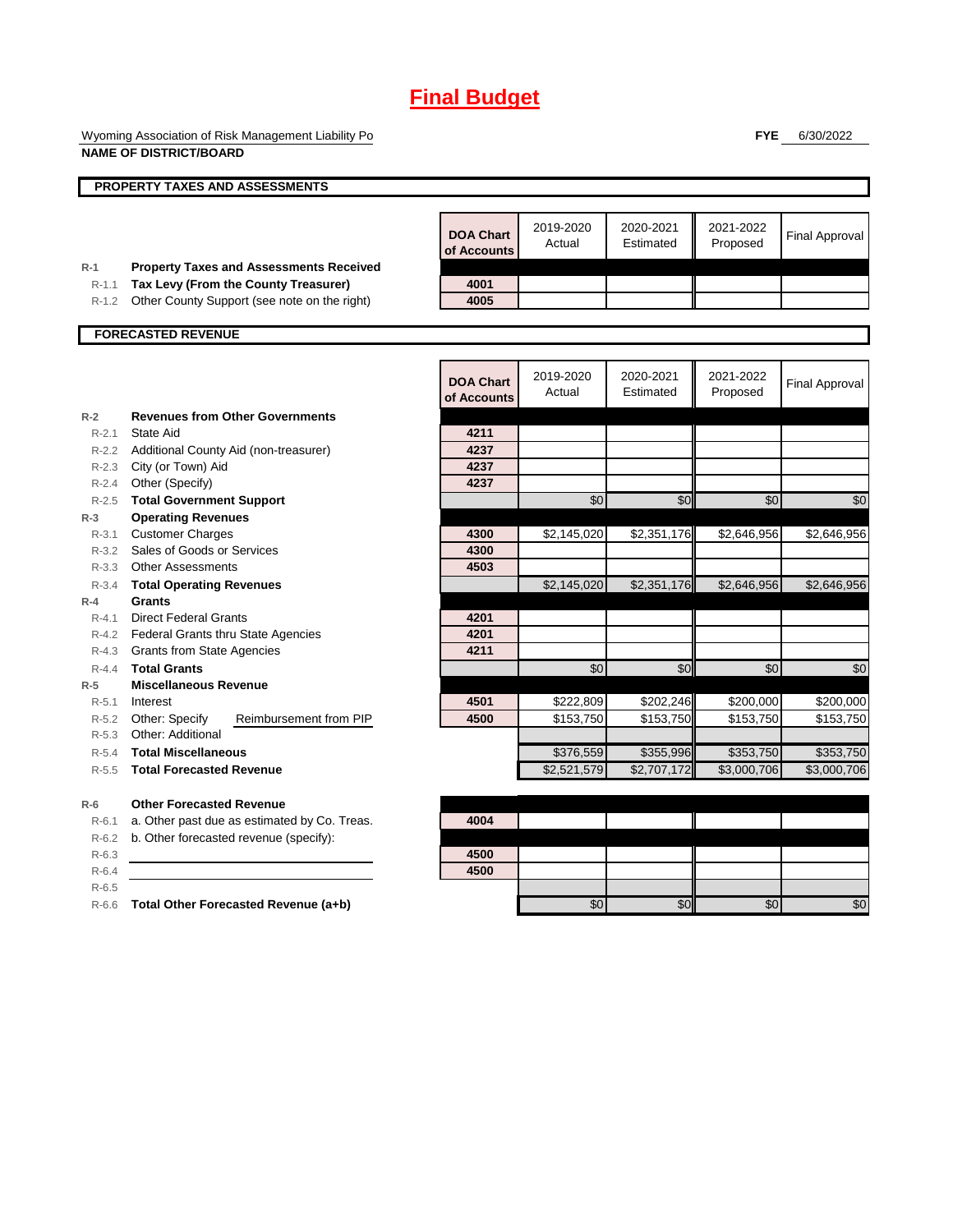## **Final Budget**

Wyoming Association of Risk Management Liability Po **NAME OF DISTRICT/BOARD**

**FYE** 6/30/2022

|                      | NAME OF DISTRICT/BOARD                                                        |                                 |                     |                        |                         |                       |
|----------------------|-------------------------------------------------------------------------------|---------------------------------|---------------------|------------------------|-------------------------|-----------------------|
|                      | <b>PROPERTY TAXES AND ASSESSMENTS</b>                                         |                                 |                     |                        |                         |                       |
|                      |                                                                               |                                 |                     |                        |                         |                       |
|                      |                                                                               | <b>DOA Chart</b><br>of Accounts | 2019-2020<br>Actual | 2020-2021<br>Estimated | 2021-2022<br>Proposed   | <b>Final Approval</b> |
| $R-1$                | <b>Property Taxes and Assessments Received</b>                                |                                 |                     |                        |                         |                       |
| $R-1.1$              | Tax Levy (From the County Treasurer)                                          | 4001                            |                     |                        |                         |                       |
| R-1.2                | Other County Support (see note on the right)                                  | 4005                            |                     |                        |                         |                       |
|                      | <b>FORECASTED REVENUE</b>                                                     |                                 |                     |                        |                         |                       |
|                      |                                                                               |                                 |                     |                        |                         |                       |
|                      |                                                                               | <b>DOA Chart</b><br>of Accounts | 2019-2020<br>Actual | 2020-2021<br>Estimated | 2021-2022<br>Proposed   | <b>Final Approval</b> |
| $R-2$                | <b>Revenues from Other Governments</b>                                        |                                 |                     |                        |                         |                       |
| $R - 2.1$            | State Aid                                                                     | 4211                            |                     |                        |                         |                       |
|                      | R-2.2 Additional County Aid (non-treasurer)                                   | 4237                            |                     |                        |                         |                       |
|                      | R-2.3 City (or Town) Aid                                                      | 4237                            |                     |                        |                         |                       |
|                      | R-2.4 Other (Specify)                                                         | 4237                            |                     |                        |                         |                       |
| $R - 2.5$            | <b>Total Government Support</b>                                               |                                 | \$0                 | \$0                    | \$0                     | \$0                   |
| $R-3$                | <b>Operating Revenues</b>                                                     |                                 |                     |                        |                         |                       |
|                      | R-3.1 Customer Charges                                                        | 4300                            | \$2,145,020         | \$2,351,176            | \$2,646,956             | \$2,646,956           |
|                      | R-3.2 Sales of Goods or Services                                              | 4300                            |                     |                        |                         |                       |
|                      | R-3.3 Other Assessments                                                       | 4503                            |                     |                        |                         |                       |
| $R - 3.4$            | <b>Total Operating Revenues</b>                                               |                                 | \$2,145,020         | \$2,351,176            | \$2,646,956             | \$2,646,956           |
| $R-4$                | Grants                                                                        |                                 |                     |                        |                         |                       |
| $R - 4.1$<br>$R-4.2$ | <b>Direct Federal Grants</b>                                                  | 4201<br>4201                    |                     |                        |                         |                       |
|                      | <b>Federal Grants thru State Agencies</b><br>R-4.3 Grants from State Agencies | 4211                            |                     |                        |                         |                       |
| $R - 4.4$            | <b>Total Grants</b>                                                           |                                 | \$0                 | \$0                    | \$0                     | \$0                   |
| $R-5$                | <b>Miscellaneous Revenue</b>                                                  |                                 |                     |                        |                         |                       |
|                      | R-5.1 Interest                                                                | 4501                            | \$222,809           | \$202,246              | \$200,000               | \$200,000             |
|                      | R-5.2 Other: Specify<br>Reimbursement from PIP                                | 4500                            | \$153,750           | \$153,750              | \$153,750               | \$153,750             |
| $R - 5.3$            | Other: Additional                                                             |                                 |                     |                        |                         |                       |
| $R - 5.4$            | <b>Total Miscellaneous</b>                                                    |                                 | \$376,559           | \$355,996              | \$353,750               | \$353,750             |
| $R-5.5$              | <b>Total Forecasted Revenue</b>                                               |                                 | \$2,521,579         | \$2,707,172            | $\overline{$3,000,706}$ | \$3,000,706           |
| $R-6$                | <b>Other Forecasted Revenue</b>                                               |                                 |                     |                        |                         |                       |
| $R-6.1$              | a. Other past due as estimated by Co. Treas.                                  | 4004                            |                     |                        |                         |                       |
| $R-6.2$              | b. Other forecasted revenue (specify):                                        |                                 |                     |                        |                         |                       |
| $R-6.3$              |                                                                               | 4500                            |                     |                        |                         |                       |
| $R-6.4$              |                                                                               | 4500                            |                     |                        |                         |                       |
| $R-6.5$              |                                                                               |                                 |                     |                        |                         |                       |
| $R-6.6$              | Total Other Forecasted Revenue (a+b)                                          |                                 | \$0                 | \$0                    | \$0                     | \$0                   |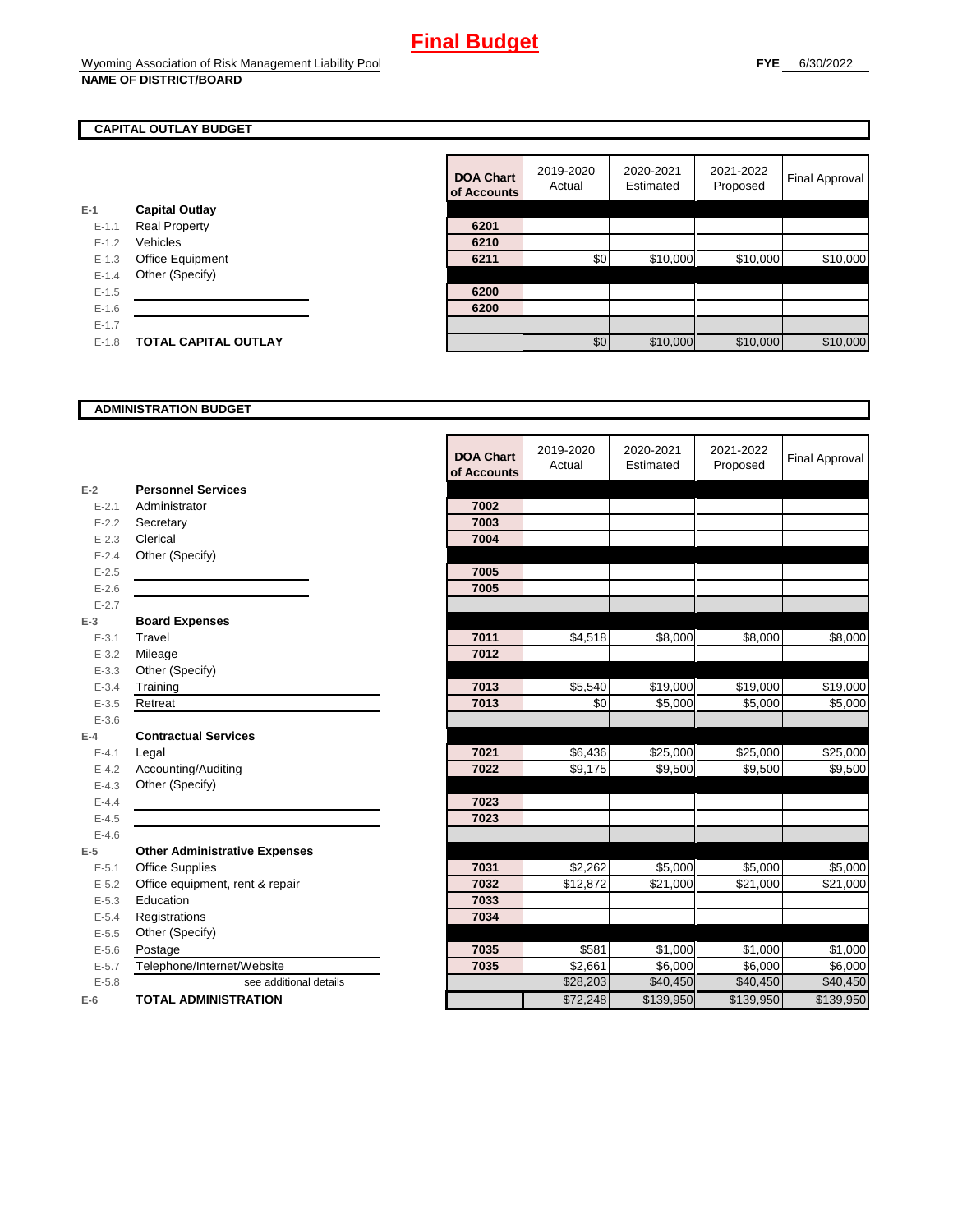## **CAPITAL OUTLAY BUDGET**

|           |                             | ui Auuu |
|-----------|-----------------------------|---------|
| $E-1$     | <b>Capital Outlay</b>       |         |
| $E - 1.1$ | <b>Real Property</b>        | 6201    |
| $E - 1.2$ | Vehicles                    | 6210    |
| $E-1.3$   | <b>Office Equipment</b>     | 6211    |
| $E - 1.4$ | Other (Specify)             |         |
| $E - 1.5$ |                             | 6200    |
| $E-1.6$   |                             | 6200    |
| $E - 1.7$ |                             |         |
| $E - 1.8$ | <b>TOTAL CAPITAL OUTLAY</b> |         |
|           |                             |         |

|           |                             | <b>DOA Chart</b><br>of Accounts | 2019-2020<br>Actual | 2020-2021<br>Estimated | 2021-2022<br>Proposed | Final Approval |
|-----------|-----------------------------|---------------------------------|---------------------|------------------------|-----------------------|----------------|
|           | <b>Capital Outlay</b>       |                                 |                     |                        |                       |                |
| $E - 1.1$ | <b>Real Property</b>        | 6201                            |                     |                        |                       |                |
| $E-1.2$   | Vehicles                    | 6210                            |                     |                        |                       |                |
| $E-1.3$   | Office Equipment            | 6211                            | \$0                 | \$10,000               | \$10,000              | \$10,000       |
| $E - 1.4$ | Other (Specify)             |                                 |                     |                        |                       |                |
| $E-1.5$   |                             | 6200                            |                     |                        |                       |                |
| $E-1.6$   |                             | 6200                            |                     |                        |                       |                |
| $E - 1.7$ |                             |                                 |                     |                        |                       |                |
| $E-1.8$   | <b>TOTAL CAPITAL OUTLAY</b> |                                 | \$0                 | \$10,000               | \$10,000              | \$10,000       |

#### **ADMINISTRATION BUDGET**

|           |                                      | <b>DOA Chart</b><br>of Accounts | 2019-2020<br>Actual | 2020-2021<br>Estimated | 2021-2022<br>Proposed | <b>Final Approval</b> |
|-----------|--------------------------------------|---------------------------------|---------------------|------------------------|-----------------------|-----------------------|
| $E-2$     | <b>Personnel Services</b>            |                                 |                     |                        |                       |                       |
| $E - 2.1$ | Administrator                        | 7002                            |                     |                        |                       |                       |
| $E - 2.2$ | Secretary                            | 7003                            |                     |                        |                       |                       |
| $E - 2.3$ | Clerical                             | 7004                            |                     |                        |                       |                       |
| $E - 2.4$ | Other (Specify)                      |                                 |                     |                        |                       |                       |
| $E-2.5$   |                                      | 7005                            |                     |                        |                       |                       |
| $E - 2.6$ |                                      | 7005                            |                     |                        |                       |                       |
| $E - 2.7$ |                                      |                                 |                     |                        |                       |                       |
| $E-3$     | <b>Board Expenses</b>                |                                 |                     |                        |                       |                       |
| $E - 3.1$ | Travel                               | 7011                            | \$4,518             | \$8,000                | \$8,000               | \$8,000               |
| $E - 3.2$ | Mileage                              | 7012                            |                     |                        |                       |                       |
| $E - 3.3$ | Other (Specify)                      |                                 |                     |                        |                       |                       |
| $E - 3.4$ | Training                             | 7013                            | \$5,540             | \$19,000               | \$19,000              | \$19,000              |
| $E - 3.5$ | Retreat                              | 7013                            | \$0                 | \$5,000                | \$5,000               | \$5,000               |
| $E - 3.6$ |                                      |                                 |                     |                        |                       |                       |
| $E-4$     | <b>Contractual Services</b>          |                                 |                     |                        |                       |                       |
| $E - 4.1$ | Legal                                | 7021                            | \$6,436             | \$25,000               | \$25,000              | \$25,000              |
| $E - 4.2$ | Accounting/Auditing                  | 7022                            | \$9,175             | \$9,500                | \$9,500               | \$9,500               |
| $E - 4.3$ | Other (Specify)                      |                                 |                     |                        |                       |                       |
| $E - 4.4$ |                                      | 7023                            |                     |                        |                       |                       |
| $E - 4.5$ |                                      | 7023                            |                     |                        |                       |                       |
| $E - 4.6$ |                                      |                                 |                     |                        |                       |                       |
| $E-5$     | <b>Other Administrative Expenses</b> |                                 |                     |                        |                       |                       |
| $E - 5.1$ | <b>Office Supplies</b>               | 7031                            | \$2,262             | \$5,000                | \$5,000               | \$5,000               |
| $E - 5.2$ | Office equipment, rent & repair      | 7032                            | \$12,872            | \$21,000               | \$21,000              | \$21,000              |
| $E-5.3$   | Education                            | 7033                            |                     |                        |                       |                       |
| $E - 5.4$ | Registrations                        | 7034                            |                     |                        |                       |                       |
| $E - 5.5$ | Other (Specify)                      |                                 |                     |                        |                       |                       |
| $E-5.6$   | Postage                              | 7035                            | \$581               | \$1,000                | \$1,000               | \$1,000               |
| $E - 5.7$ | Telephone/Internet/Website           | 7035                            | \$2,661             | \$6,000                | \$6,000               | \$6,000               |
| $E - 5.8$ | see additional details               |                                 | \$28,203            | \$40,450               | \$40,450              | \$40,450              |
| $E-6$     | <b>TOTAL ADMINISTRATION</b>          |                                 | \$72,248            | \$139,950              | \$139,950             | \$139,950             |

r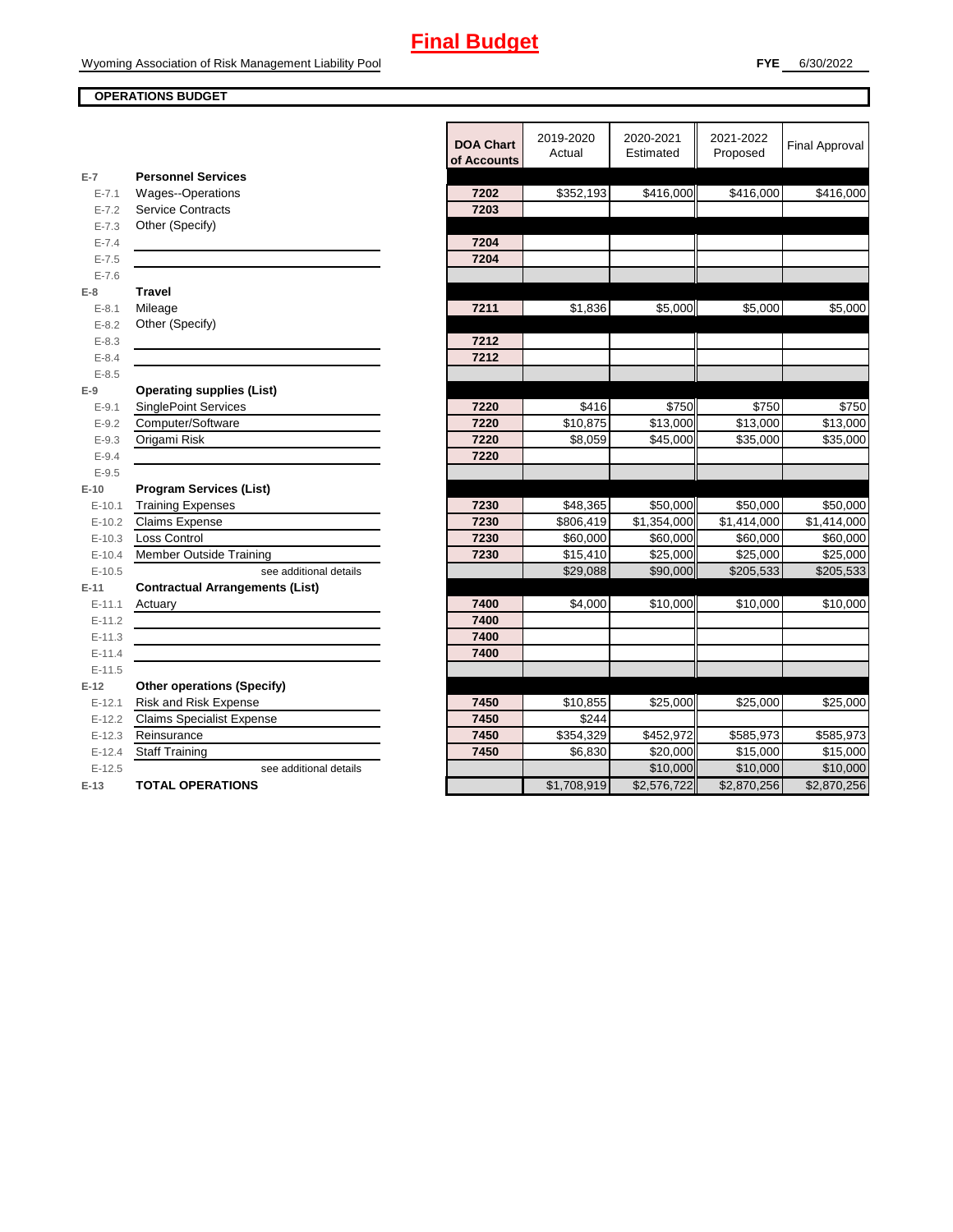## **OPERATIONS BUDGET**

|                      |                                                                                                                                                                                                                                                 | <b>DOA Chart</b><br>of Accounts | 2019-2020<br>Actual | 2020-2021<br>Estimated | 2021-2022<br>Proposed | <b>Final Approval</b> |
|----------------------|-------------------------------------------------------------------------------------------------------------------------------------------------------------------------------------------------------------------------------------------------|---------------------------------|---------------------|------------------------|-----------------------|-----------------------|
| $E-7$                | <b>Personnel Services</b>                                                                                                                                                                                                                       |                                 |                     |                        |                       |                       |
| $E - 7.1$            | Wages--Operations                                                                                                                                                                                                                               | 7202                            | \$352,193           | \$416,000              | \$416,000             | \$416,000             |
| $E - 7.2$            | <b>Service Contracts</b>                                                                                                                                                                                                                        | 7203                            |                     |                        |                       |                       |
| $E - 7.3$            | Other (Specify)                                                                                                                                                                                                                                 |                                 |                     |                        |                       |                       |
| $E - 7.4$            |                                                                                                                                                                                                                                                 | 7204                            |                     |                        |                       |                       |
| $E - 7.5$            |                                                                                                                                                                                                                                                 | 7204                            |                     |                        |                       |                       |
| $E - 7.6$            |                                                                                                                                                                                                                                                 |                                 |                     |                        |                       |                       |
| $E-8$                | <b>Travel</b>                                                                                                                                                                                                                                   |                                 |                     |                        |                       |                       |
| $E - 8.1$            | Mileage                                                                                                                                                                                                                                         | 7211                            | \$1,836             | \$5,000                | \$5,000               | \$5,000               |
| $E - 8.2$            | Other (Specify)                                                                                                                                                                                                                                 |                                 |                     |                        |                       |                       |
| $E - 8.3$            |                                                                                                                                                                                                                                                 | 7212                            |                     |                        |                       |                       |
| $E - 8.4$            |                                                                                                                                                                                                                                                 | 7212                            |                     |                        |                       |                       |
| $E - 8.5$            |                                                                                                                                                                                                                                                 |                                 |                     |                        |                       |                       |
| $E-9$                | <b>Operating supplies (List)</b>                                                                                                                                                                                                                | 7220                            | \$416               | \$750                  | \$750                 | \$750                 |
| $E-9.1$<br>$E - 9.2$ | <b>SinglePoint Services</b><br>Computer/Software                                                                                                                                                                                                | 7220                            |                     |                        |                       |                       |
| $E - 9.3$            |                                                                                                                                                                                                                                                 | 7220                            | \$10,875<br>\$8,059 | \$13,000<br>\$45,000   | \$13,000              | \$13,000              |
| $E - 9.4$            | Origami Risk                                                                                                                                                                                                                                    | 7220                            |                     |                        | \$35,000              | \$35,000              |
| $E - 9.5$            |                                                                                                                                                                                                                                                 |                                 |                     |                        |                       |                       |
| $E-10$               | <b>Program Services (List)</b>                                                                                                                                                                                                                  |                                 |                     |                        |                       |                       |
| $E - 10.1$           | <b>Training Expenses</b>                                                                                                                                                                                                                        | 7230                            | \$48,365            | \$50.000               | \$50,000              | \$50,000              |
| $E-10.2$             | Claims Expense                                                                                                                                                                                                                                  | 7230                            | \$806,419           | \$1,354,000            | \$1,414,000           | \$1,414,000           |
| $E-10.3$             | Loss Control                                                                                                                                                                                                                                    | 7230                            | \$60,000            | \$60,000               | \$60,000              | \$60,000              |
| $E-10.4$             | <b>Member Outside Training</b>                                                                                                                                                                                                                  | 7230                            | \$15,410            | \$25,000               | \$25,000              | \$25,000              |
| $E-10.5$             | see additional details                                                                                                                                                                                                                          |                                 | \$29,088            | \$90,000               | \$205,533             | \$205,533             |
| $E-11$               | <b>Contractual Arrangements (List)</b>                                                                                                                                                                                                          |                                 |                     |                        |                       |                       |
| $E-11.1$             | Actuary<br><u>and the state of the state of the state of the state of the state of the state of the state of the state of the state of the state of the state of the state of the state of the state of the state of the state of the state</u> | 7400                            | \$4,000             | \$10,000               | \$10,000              | \$10,000              |
| $E-11.2$             |                                                                                                                                                                                                                                                 | 7400                            |                     |                        |                       |                       |
| $E-11.3$             |                                                                                                                                                                                                                                                 | 7400                            |                     |                        |                       |                       |
| $E-11.4$             |                                                                                                                                                                                                                                                 | 7400                            |                     |                        |                       |                       |
| $E-11.5$             |                                                                                                                                                                                                                                                 |                                 |                     |                        |                       |                       |
| $E-12$               | <b>Other operations (Specify)</b>                                                                                                                                                                                                               |                                 |                     |                        |                       |                       |
| $E-12.1$             | Risk and Risk Expense                                                                                                                                                                                                                           | 7450                            | \$10,855            | \$25,000               | \$25,000              | \$25,000              |
| $E-12.2$             | <b>Claims Specialist Expense</b>                                                                                                                                                                                                                | 7450                            | \$244               |                        |                       |                       |
| $E-12.3$             | Reinsurance                                                                                                                                                                                                                                     | 7450                            | \$354,329           | \$452,972              | \$585,973             | \$585,973             |
| $E-12.4$             | <b>Staff Training</b>                                                                                                                                                                                                                           | 7450                            | \$6,830             | \$20,000               | \$15,000              | \$15,000              |
| $E-12.5$             | see additional details                                                                                                                                                                                                                          |                                 |                     | \$10,000               | \$10,000              | \$10,000              |
| $E-13$               | <b>TOTAL OPERATIONS</b>                                                                                                                                                                                                                         |                                 | \$1,708,919         | \$2,576,722            | \$2,870,256           | \$2,870,256           |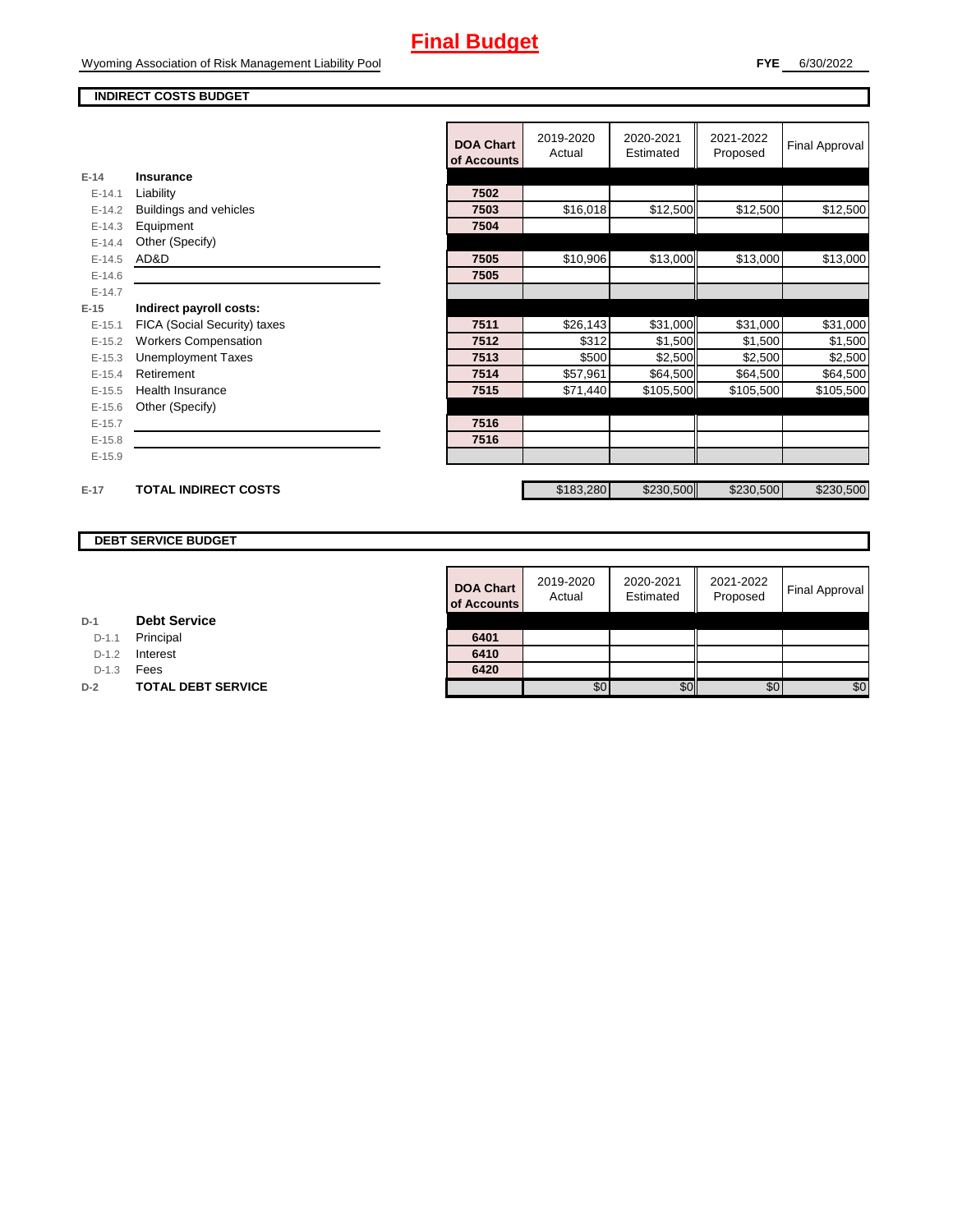## **Final Budget**

#### **INDIRECT COSTS BUDGET**

|          |                              | <b>DOA Chart</b><br>of Accounts | 2019-2020<br>Actual | 2020-2021<br>Estimated | 2021-2022<br>Proposed | <b>Final Approval</b> |
|----------|------------------------------|---------------------------------|---------------------|------------------------|-----------------------|-----------------------|
| $E-14$   | Insurance                    |                                 |                     |                        |                       |                       |
| $E-14.1$ | Liability                    | 7502                            |                     |                        |                       |                       |
| $E-14.2$ | Buildings and vehicles       | 7503                            | \$16,018            | \$12,500               | \$12,500              | \$12,500              |
| $E-14.3$ | Equipment                    | 7504                            |                     |                        |                       |                       |
| $E-14.4$ | Other (Specify)              |                                 |                     |                        |                       |                       |
| $E-14.5$ | AD&D                         | 7505                            | \$10,906            | \$13,000               | \$13,000              | \$13,000              |
| $E-14.6$ |                              | 7505                            |                     |                        |                       |                       |
| $E-14.7$ |                              |                                 |                     |                        |                       |                       |
| $E-15$   | Indirect payroll costs:      |                                 |                     |                        |                       |                       |
| $E-15.1$ | FICA (Social Security) taxes | 7511                            | \$26,143            | \$31,000               | \$31,000              | \$31,000              |
| $E-15.2$ | <b>Workers Compensation</b>  | 7512                            | \$312               | \$1,500                | \$1,500               | \$1,500               |
| $E-15.3$ | <b>Unemployment Taxes</b>    | 7513                            | \$500               | \$2,500                | \$2,500               | \$2,500               |
| $E-15.4$ | Retirement                   | 7514                            | \$57,961            | \$64,500               | \$64,500              | \$64,500              |
| $E-15.5$ | <b>Health Insurance</b>      | 7515                            | \$71,440            | \$105,500              | \$105,500             | \$105,500             |
| $E-15.6$ | Other (Specify)              |                                 |                     |                        |                       |                       |
| $E-15.7$ |                              | 7516                            |                     |                        |                       |                       |
| $E-15.8$ |                              | 7516                            |                     |                        |                       |                       |
| $E-15.9$ |                              |                                 |                     |                        |                       |                       |
|          |                              |                                 |                     |                        |                       |                       |
| $E-17$   | <b>TOTAL INDIRECT COSTS</b>  |                                 | \$183,280           | \$230,500              | \$230,500             | \$230,500             |

## **DEBT SERVICE BUDGET**

| <b>DOA Chart</b><br>of Accounts | 2019-2020<br>Actual | 2020-2021<br>Estimated | 2021-2022<br>Proposed | <b>Final Approval</b> |
|---------------------------------|---------------------|------------------------|-----------------------|-----------------------|
|                                 |                     |                        |                       |                       |
| 6401<br>6410                    |                     |                        |                       |                       |
| 6420                            |                     |                        |                       |                       |
|                                 | 30                  |                        | \$0                   | \$0                   |

| D-1 | <b>Debt Service</b> |
|-----|---------------------|

D-1.1 Principal

D-1.2 **Interest** 

D-1.3 **Fees** 

**D-2 TOTAL DEBT SERVICE**